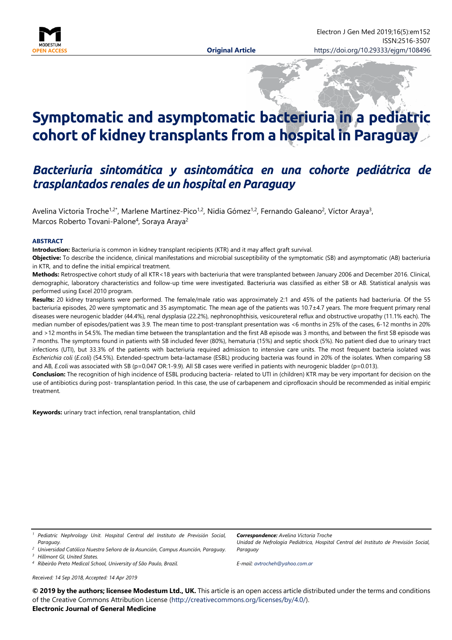

# **Symptomatic and asymptomatic bacteriuria in a pediatric cohort of kidney transplants from a hospital in Paraguay**

# *Bacteriuria sintomática y asintomática en una cohorte pediátrica de trasplantados renales de un hospital en Paraguay*

Avelina Victoria Troche<sup>1,2\*</sup>, Marlene Martínez-Pico<sup>1,2</sup>, Nidia Gómez<sup>1,2</sup>, Fernando Galeano<sup>2</sup>, Víctor Araya<sup>3</sup>, Marcos Roberto Tovani-Palone<sup>4</sup>, Soraya Araya<sup>2</sup>

#### **ABSTRACT**

**Introduction:** Bacteriuria is common in kidney transplant recipients (KTR) and it may affect graft survival.

**Objective:** To describe the incidence, clinical manifestations and microbial susceptibility of the symptomatic (SB) and asymptomatic (AB) bacteriuria in KTR, and to define the initial empirical treatment.

**Methods:** Retrospective cohort study of all KTR<18 years with bacteriuria that were transplanted between January 2006 and December 2016. Clinical, demographic, laboratory characteristics and follow-up time were investigated. Bacteriuria was classified as either SB or AB. Statistical analysis was performed using Excel 2010 program.

**Results:** 20 kidney transplants were performed. The female/male ratio was approximately 2:1 and 45% of the patients had bacteriuria. Of the 55 bacteriuria episodes, 20 were symptomatic and 35 asymptomatic. The mean age of the patients was 10.7±4.7 years. The more frequent primary renal diseases were neurogenic bladder (44.4%), renal dysplasia (22.2%), nephronophthisis, vesicoureteral reflux and obstructive uropathy (11.1% each). The median number of episodes/patient was 3.9. The mean time to post-transplant presentation was <6 months in 25% of the cases, 6-12 months in 20% and >12 months in 54.5%. The median time between the transplantation and the first AB episode was 3 months, and between the first SB episode was 7 months. The symptoms found in patients with SB included fever (80%), hematuria (15%) and septic shock (5%). No patient died due to urinary tract infections (UTI), but 33.3% of the patients with bacteriuria required admission to intensive care units. The most frequent bacteria isolated was *Escherichia coli* (*E.coli*) (54.5%). Extended-spectrum beta-lactamase (ESBL) producing bacteria was found in 20% of the isolates. When comparing SB and AB, *E.coli* was associated with SB (p=0.047 OR:1-9.9). All SB cases were verified in patients with neurogenic bladder (p=0.013).

**Conclusion:** The recognition of high incidence of ESBL producing bacteria- related to UTI in (children) KTR may be very important for decision on the use of antibiotics during post- transplantation period. In this case, the use of carbapenem and ciprofloxacin should be recommended as initial empiric treatment.

**Keywords:** urinary tract infection, renal transplantation, child

*<sup>1</sup> Pediatric Nephrology Unit. Hospital Central del Instituto de Previsión Social, Paraguay.*

*<sup>3</sup> Hillmont GI, United States.*

*<sup>4</sup> Ribeirão Preto Medical School, University of São Paulo, Brazil.*

*Received: 14 Sep 2018, Accepted: 14 Apr 2019*

*Correspondence: Avelina Victoria Troche Unidad de Nefrología Pediátrica, Hospital Central del Instituto de Previsión Social, Paraguay*

*E-mail: [avtrocheh@yahoo.com.ar](mailto:avtrocheh@yahoo.com.ar)*

**© 2019 by the authors; licensee Modestum Ltd., UK.** This article is an open access article distributed under the terms and conditions of the Creative Commons Attribution License [\(http://creativecommons.org/licenses/by/4.0/\)](http://creativecommons.org/licenses/by/4.0/).

# **Electronic Journal of General Medicine**

*<sup>2</sup> Universidad Católica Nuestra Señora de la Asunción, Campus Asunción, Paraguay.*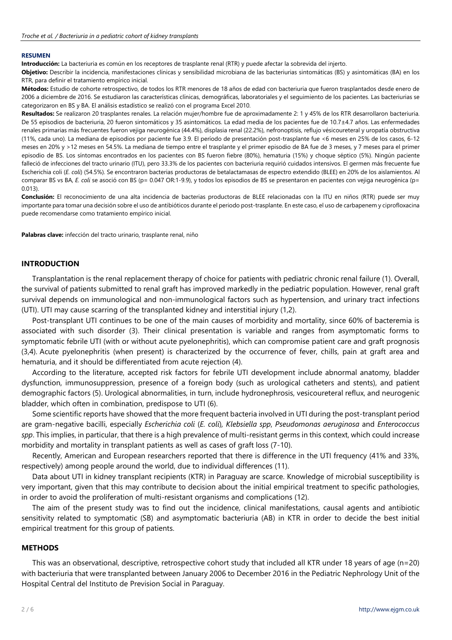#### **RESUMEN**

**Introducción:** La bacteriuria es común en los receptores de trasplante renal (RTR) y puede afectar la sobrevida del injerto.

**Objetivo:** Describir la incidencia, manifestaciones clínicas y sensibilidad microbiana de las bacteriurias sintomáticas (BS) y asintomáticas (BA) en los RTR, para definir el tratamiento empírico inicial.

**Métodos:** Estudio de cohorte retrospectivo, de todos los RTR menores de 18 años de edad con bacteriuria que fueron trasplantados desde enero de 2006 a diciembre de 2016. Se estudiaron las características clínicas, demográficas, laboratoriales y el seguimiento de los pacientes. Las bacteriurias se categorizaron en BS y BA. El análisis estadístico se realizó con el programa Excel 2010.

**Resultados:** Se realizaron 20 trasplantes renales. La relación mujer/hombre fue de aproximadamente 2: 1 y 45% de los RTR desarrollaron bacteriuria. De 55 episodios de bacteriuria, 20 fueron sintomáticos y 35 asintomáticos. La edad media de los pacientes fue de 10.7±4.7 años. Las enfermedades renales primarias más frecuentes fueron vejiga neurogénica (44.4%), displasia renal (22.2%), nefronoptisis, reflujo vésicoureteral y uropatía obstructiva (11%, cada uno). La mediana de episodios por paciente fue 3.9. El período de presentación post-trasplante fue <6 meses en 25% de los casos, 6-12 meses en 20% y >12 meses en 54.5%. La mediana de tiempo entre el trasplante y el primer episodio de BA fue de 3 meses, y 7 meses para el primer episodio de BS. Los síntomas encontrados en los pacientes con BS fueron fiebre (80%), hematuria (15%) y choque séptico (5%). Ningún paciente falleció de infecciones del tracto urinario (ITU), pero 33.3% de los pacientes con bacteriuria requirió cuidados intensivos. El germen más frecuente fue Escherichia coli (*E. coli*) (54.5%). Se encontraron bacterias productoras de betalactamasas de espectro extendido (BLEE) en 20% de los aislamientos. Al comparar BS vs BA, *E. coli* se asoció con BS (p= 0.047 OR:1-9.9), y todos los episodios de BS se presentaron en pacientes con vejiga neurogénica (p= 0.013).

**Conclusión:** El reconocimiento de una alta incidencia de bacterias productoras de BLEE relacionadas con la ITU en niños (RTR) puede ser muy importante para tomar una decisión sobre el uso de antibióticos durante el periodo post-trasplante. En este caso, el uso de carbapenem y ciprofloxacina puede recomendarse como tratamiento empírico inicial.

**Palabras clave:** infección del tracto urinario, trasplante renal, niño

#### **INTRODUCTION**

Transplantation is the renal replacement therapy of choice for patients with pediatric chronic renal failure (1). Overall, the survival of patients submitted to renal graft has improved markedly in the pediatric population. However, renal graft survival depends on immunological and non-immunological factors such as hypertension, and urinary tract infections (UTI). UTI may cause scarring of the transplanted kidney and interstitial injury (1,2).

Post-transplant UTI continues to be one of the main causes of morbidity and mortality, since 60% of bacteremia is associated with such disorder (3). Their clinical presentation is variable and ranges from asymptomatic forms to symptomatic febrile UTI (with or without acute pyelonephritis), which can compromise patient care and graft prognosis (3,4). Acute pyelonephritis (when present) is characterized by the occurrence of fever, chills, pain at graft area and hematuria, and it should be differentiated from acute rejection (4).

According to the literature, accepted risk factors for febrile UTI development include abnormal anatomy, bladder dysfunction, immunosuppression, presence of a foreign body (such as urological catheters and stents), and patient demographic factors (5). Urological abnormalities, in turn, include hydronephrosis, vesicoureteral reflux, and neurogenic bladder, which often in combination, predispose to UTI (6).

Some scientific reports have showed that the more frequent bacteria involved in UTI during the post-transplant period are gram-negative bacilli, especially *Escherichia coli* (*E. coli*)*, Klebsiella spp*, *Pseudomonas aeruginosa* and *Enterococcus spp*. This implies, in particular, that there is a high prevalence of multi-resistant germs in this context, which could increase morbidity and mortality in transplant patients as well as cases of graft loss (7-10).

Recently, American and European researchers reported that there is difference in the UTI frequency (41% and 33%, respectively) among people around the world, due to individual differences (11).

Data about UTI in kidney transplant recipients (KTR) in Paraguay are scarce. Knowledge of microbial susceptibility is very important, given that this may contribute to decision about the initial empirical treatment to specific pathologies, in order to avoid the proliferation of multi-resistant organisms and complications (12).

The aim of the present study was to find out the incidence, clinical manifestations, causal agents and antibiotic sensitivity related to symptomatic (SB) and asymptomatic bacteriuria (AB) in KTR in order to decide the best initial empirical treatment for this group of patients.

#### **METHODS**

This was an observational, descriptive, retrospective cohort study that included all KTR under 18 years of age (n=20) with bacteriuria that were transplanted between January 2006 to December 2016 in the Pediatric Nephrology Unit of the Hospital Central del Instituto de Prevision Social in Paraguay.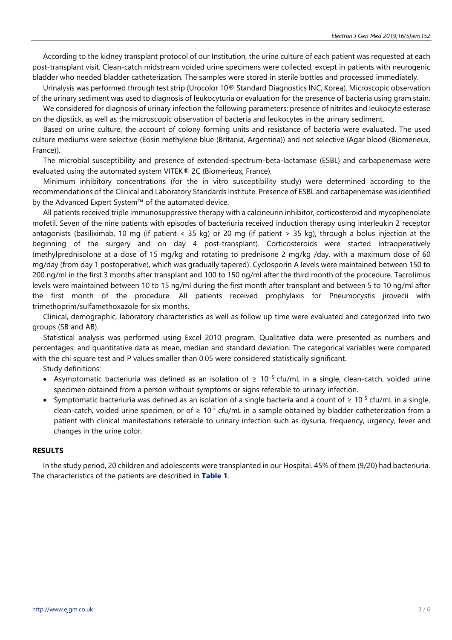According to the kidney transplant protocol of our Institution, the urine culture of each patient was requested at each post-transplant visit. Clean-catch midstream voided urine specimens were collected, except in patients with neurogenic bladder who needed bladder catheterization. The samples were stored in sterile bottles and processed immediately.

Urinalysis was performed through test strip (Urocolor 10® Standard Diagnostics INC, Korea). Microscopic observation of the urinary sediment was used to diagnosis of leukocyturia or evaluation for the presence of bacteria using gram stain.

We considered for diagnosis of urinary infection the following parameters: presence of nitrites and leukocyte esterase on the dipstick, as well as the microscopic observation of bacteria and leukocytes in the urinary sediment.

Based on urine culture, the account of colony forming units and resistance of bacteria were evaluated. The used culture mediums were selective (Eosin methylene blue (Britania, Argentina)) and not selective (Agar blood (Biomerieux, France)).

The microbial susceptibility and presence of extended-spectrum-beta-lactamase (ESBL) and carbapenemase were evaluated using the automated system VITEK® 2C (Biomerieux, France).

Minimum inhibitory concentrations (for the in vitro susceptibility study) were determined according to the recommendations of the Clinical and Laboratory Standards Institute. Presence of ESBL and carbapenemase was identified by the Advanced Expert System™ of the automated device.

All patients received triple immunosuppressive therapy with a calcineurin inhibitor, corticosteroid and mycophenolate mofetil. Seven of the nine patients with episodes of bacteriuria received induction therapy using interleukin 2 receptor antagonists (basiliximab, 10 mg (if patient < 35 kg) or 20 mg (if patient > 35 kg), through a bolus injection at the beginning of the surgery and on day 4 post-transplant). Corticosteroids were started intraoperatively (methylprednisolone at a dose of 15 mg/kg and rotating to prednisone 2 mg/kg /day, with a maximum dose of 60 mg/day (from day 1 postoperative), which was gradually tapered). Cyclosporin A levels were maintained between 150 to 200 ng/ml in the first 3 months after transplant and 100 to 150 ng/ml after the third month of the procedure. Tacrolimus levels were maintained between 10 to 15 ng/ml during the first month after transplant and between 5 to 10 ng/ml after the first month of the procedure. All patients received prophylaxis for Pneumocystis jirovecii with trimethoprim/sulfamethoxazole for six months.

Clinical, demographic, laboratory characteristics as well as follow up time were evaluated and categorized into two groups (SB and AB).

Statistical analysis was performed using Excel 2010 program. Qualitative data were presented as numbers and percentages, and quantitative data as mean, median and standard deviation. The categorical variables were compared with the chi square test and P values smaller than 0.05 were considered statistically significant.

Study definitions:

- Asymptomatic bacteriuria was defined as an isolation of  $\geq 10^{-5}$  cfu/mL in a single, clean-catch, voided urine specimen obtained from a person without symptoms or signs referable to urinary infection.
- Symptomatic bacteriuria was defined as an isolation of a single bacteria and a count of  $\geq 10^{-5}$  cfu/mL in a single, clean-catch, voided urine specimen, or of  $\geq 10^3$  cfu/mL in a sample obtained by bladder catheterization from a patient with clinical manifestations referable to urinary infection such as dysuria, frequency, urgency, fever and changes in the urine color.

#### **RESULTS**

In the study period, 20 children and adolescents were transplanted in our Hospital. 45% of them (9/20) had bacteriuria. The characteristics of the patients are described in **Table 1**.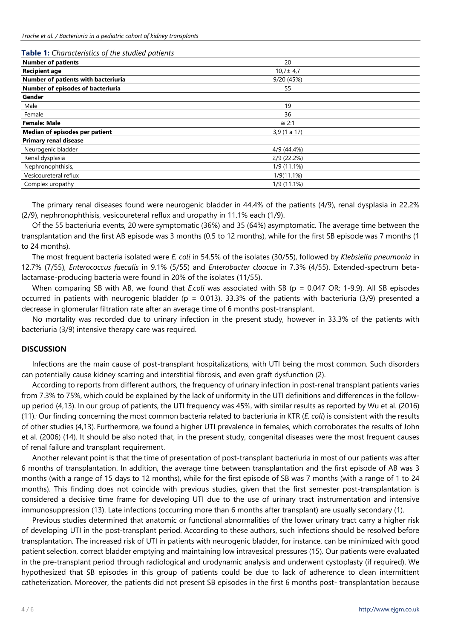#### **Table 1:** *Characteristics of the studied patients*

| <b>Number of patients</b>           | 20             |  |
|-------------------------------------|----------------|--|
| <b>Recipient age</b>                | $10,7 \pm 4,7$ |  |
| Number of patients with bacteriuria | 9/20 (45%)     |  |
| Number of episodes of bacteriuria   | 55             |  |
| Gender                              |                |  |
| Male                                | 19             |  |
| Female                              | 36             |  |
| <b>Female: Male</b>                 | $\approx$ 2:1  |  |
| Median of episodes per patient      | 3,9(1 a 17)    |  |
| <b>Primary renal disease</b>        |                |  |
| Neurogenic bladder                  | 4/9 (44.4%)    |  |
| Renal dysplasia                     | 2/9 (22.2%)    |  |
| Nephronophthisis,                   | 1/9 (11.1%)    |  |
| Vesicoureteral reflux               | $1/9(11.1\%)$  |  |
| Complex uropathy                    | 1/9 (11.1%)    |  |
|                                     |                |  |

The primary renal diseases found were neurogenic bladder in 44.4% of the patients (4/9), renal dysplasia in 22.2% (2/9), nephronophthisis, vesicoureteral reflux and uropathy in 11.1% each (1/9).

Of the 55 bacteriuria events, 20 were symptomatic (36%) and 35 (64%) asymptomatic. The average time between the transplantation and the first AB episode was 3 months (0.5 to 12 months), while for the first SB episode was 7 months (1 to 24 months).

The most frequent bacteria isolated were *E. coli* in 54.5% of the isolates (30/55), followed by *Klebsiella pneumonia* in 12.7% (7/55), *Enterococcus faecalis* in 9.1% (5/55) and *Enterobacter cloacae* in 7.3% (4/55). Extended-spectrum betalactamase-producing bacteria were found in 20% of the isolates (11/55).

When comparing SB with AB, we found that *E.coli* was associated with SB (p = 0.047 OR: 1-9.9). All SB episodes occurred in patients with neurogenic bladder ( $p = 0.013$ ). 33.3% of the patients with bacteriuria (3/9) presented a decrease in glomerular filtration rate after an average time of 6 months post-transplant.

No mortality was recorded due to urinary infection in the present study, however in 33.3% of the patients with bacteriuria (3/9) intensive therapy care was required.

### **DISCUSSION**

Infections are the main cause of post-transplant hospitalizations, with UTI being the most common. Such disorders can potentially cause kidney scarring and interstitial fibrosis, and even graft dysfunction (2).

According to reports from different authors, the frequency of urinary infection in post-renal transplant patients varies from 7.3% to 75%, which could be explained by the lack of uniformity in the UTI definitions and differences in the followup period (4,13). In our group of patients, the UTI frequency was 45%, with similar results as reported by Wu et al. (2016) (11).. Our finding concerning the most common bacteria related to bacteriuria in KTR (*E. coli*) is consistent with the results of other studies (4,13). Furthermore, we found a higher UTI prevalence in females, which corroborates the results of John et al. (2006) (14). It should be also noted that, in the present study, congenital diseases were the most frequent causes of renal failure and transplant requirement.

Another relevant point is that the time of presentation of post-transplant bacteriuria in most of our patients was after 6 months of transplantation. In addition, the average time between transplantation and the first episode of AB was 3 months (with a range of 15 days to 12 months), while for the first episode of SB was 7 months (with a range of 1 to 24 months). This finding does not coincide with previous studies, given that the first semester post-transplantation is considered a decisive time frame for developing UTI due to the use of urinary tract instrumentation and intensive immunosuppression (13). Late infections (occurring more than 6 months after transplant) are usually secondary (1).

Previous studies determined that anatomic or functional abnormalities of the lower urinary tract carry a higher risk of developing UTI in the post-transplant period. According to these authors, such infections should be resolved before transplantation. The increased risk of UTI in patients with neurogenic bladder, for instance, can be minimized with good patient selection, correct bladder emptying and maintaining low intravesical pressures (15). Our patients were evaluated in the pre-transplant period through radiological and urodynamic analysis and underwent cystoplasty (if required). We hypothesized that SB episodes in this group of patients could be due to lack of adherence to clean intermittent catheterization. Moreover, the patients did not present SB episodes in the first 6 months post- transplantation because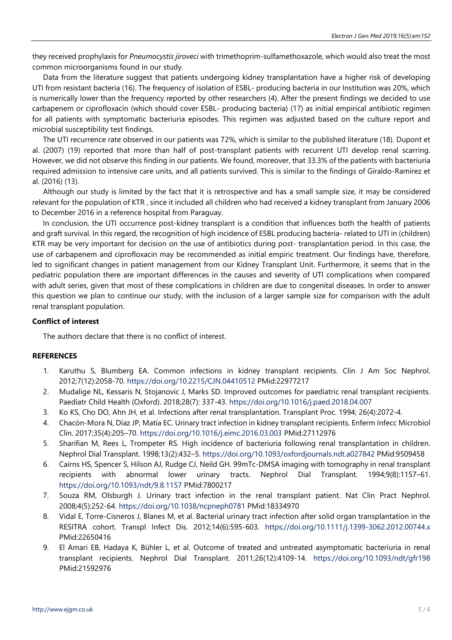they received prophylaxis for *Pneumocystis jiroveci* with trimethoprim-sulfamethoxazole, which would also treat the most common microorganisms found in our study.

Data from the literature suggest that patients undergoing kidney transplantation have a higher risk of developing UTI from resistant bacteria (16). The frequency of isolation of ESBL- producing bacteria in our Institution was 20%, which is numerically lower than the frequency reported by other researchers (4). After the present findings we decided to use carbapenem or ciprofloxacin (which should cover ESBL- producing bacteria) (17) as initial empirical antibiotic regimen for all patients with symptomatic bacteriuria episodes. This regimen was adjusted based on the culture report and microbial susceptibility test findings.

The UTI recurrence rate observed in our patients was 72%, which is similar to the published literature (18). Dupont et al. (2007) (19) reported that more than half of post-transplant patients with recurrent UTI develop renal scarring. However, we did not observe this finding in our patients. We found, moreover, that 33.3% of the patients with bacteriuria required admission to intensive care units, and all patients survived. This is similar to the findings of Giraldo-Ramírez et al. (2016) (13).

Although our study is limited by the fact that it is retrospective and has a small sample size, it may be considered relevant for the population of KTR , since it included all children who had received a kidney transplant from January 2006 to December 2016 in a reference hospital from Paraguay.

In conclusion, the UTI occurrence post-kidney transplant is a condition that influences both the health of patients and graft survival. In this regard, the recognition of high incidence of ESBL producing bacteria- related to UTI in (children) KTR may be very important for decision on the use of antibiotics during post- transplantation period. In this case, the use of carbapenem and ciprofloxacin may be recommended as initial empiric treatment. Our findings have, therefore, led to significant changes in patient management from our Kidney Transplant Unit. Furthermore, it seems that in the pediatric population there are important differences in the causes and severity of UTI complications when compared with adult series, given that most of these complications in children are due to congenital diseases. In order to answer this question we plan to continue our study, with the inclusion of a larger sample size for comparison with the adult renal transplant population.

#### **Conflict of interest**

The authors declare that there is no conflict of interest.

# **REFERENCES**

- 1. Karuthu S, Blumberg EA. Common infections in kidney transplant recipients. Clin J Am Soc Nephrol. 2012;7(12):2058-70. <https://doi.org/10.2215/CJN.04410512> PMid:22977217
- 2. Mudalige NL, Kessaris N, Stojanovic J, Marks SD. Improved outcomes for paediatric renal transplant recipients. Paediatr Child Health (Oxford). 2018;28(7): 337-43. <https://doi.org/10.1016/j.paed.2018.04.007>
- 3. Ko KS, Cho DO, Ahn JH, et al. Infections after renal transplantation. Transplant Proc. 1994; 26(4):2072-4.
- 4. Chacón-Mora N, Díaz JP, Matía EC. Urinary tract infection in kidney transplant recipients. Enferm Infecc Microbiol Clin. 2017;35(4):205–70. <https://doi.org/10.1016/j.eimc.2016.03.003> PMid:27112976
- 5. Sharifian M, Rees L, Trompeter RS. High incidence of bacteriuria following renal transplantation in children. Nephrol Dial Transplant. 1998;13(2):432–5. <https://doi.org/10.1093/oxfordjournals.ndt.a027842> PMid:9509458
- 6. Cairns HS, Spencer S, Hilson AJ, Rudge CJ, Neild GH. 99mTc-DMSA imaging with tomography in renal transplant recipients with abnormal lower urinary tracts. Nephrol Dial Transplant. 1994;9(8):1157–61. <https://doi.org/10.1093/ndt/9.8.1157> PMid:7800217
- 7. Souza RM, Olsburgh J. Urinary tract infection in the renal transplant patient. Nat Clin Pract Nephrol. 2008;4(5):252-64. <https://doi.org/10.1038/ncpneph0781> PMid:18334970
- 8. Vidal E, Torre-Cisneros J, Blanes M, et al. Bacterial urinary tract infection after solid organ transplantation in the RESITRA cohort. Transpl Infect Dis. 2012;14(6):595-603. <https://doi.org/10.1111/j.1399-3062.2012.00744.x> PMid:22650416
- 9. El Amari EB, Hadaya K, Bühler L, et al. Outcome of treated and untreated asymptomatic bacteriuria in renal transplant recipients. Nephrol Dial Transplant. 2011;26(12):4109-14. <https://doi.org/10.1093/ndt/gfr198> PMid:21592976